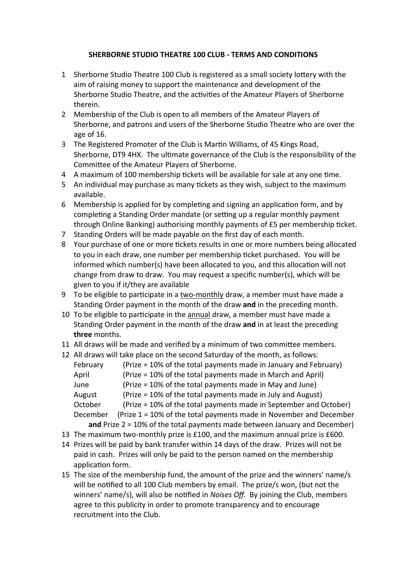## **SHERBORNE STUDIO THEATRE 100 CLUB - TERMS AND CONDITIONS**

- 1 Sherborne Studio Theatre 100 Club is registered as a small society lottery with the aim of raising money to support the maintenance and development of the Sherborne Studio Theatre, and the activities of the Amateur Players of Sherborne therein.
- 2 Membership of the Club is open to all members of the Amateur Players of Sherborne, and patrons and users of the Sherborne Studio Theatre who are over the age of 16.
- 3 The Registered Promoter of the Club is Martin Williams, of 45 Kings Road, Sherborne, DT9 4HX. The ultimate governance of the Club is the responsibility of the Committee of the Amateur Players of Sherborne.
- 4 A maximum of 100 membership tickets will be available for sale at any one time.
- 5 An individual may purchase as many tickets as they wish, subject to the maximum available.
- 6 Membership is applied for by completing and signing an application form, and by completing a Standing Order mandate (or setting up a regular monthly payment through Online Banking) authorising monthly payments of £5 per membership ticket.
- 7 Standing Orders will be made payable on the first day of each month.
- 8 Your purchase of one or more tickets results in one or more numbers being allocated to you in each draw, one number per membership ticket purchased. You will be informed which number(s) have been allocated to you, and this allocation will not change from draw to draw. You may request a specific number(s), which will be given to you if it/they are available
- 9 To be eligible to participate in a two-monthly draw, a member must have made a Standing Order payment in the month of the draw **and** in the preceding month.
- 10 To be eligible to participate in the annual draw, a member must have made a Standing Order payment in the month of the draw **and** in at least the preceding **three** months.
- 11 All draws will be made and verified by a minimum of two committee members.
- 12 All draws will take place on the second Saturday of the month, as follows: February (Prize = 10% of the total payments made in January and February) April (Prize = 10% of the total payments made in March and April) June (Prize = 10% of the total payments made in May and June) August (Prize = 10% of the total payments made in July and August) October (Prize = 10% of the total payments made in September and October) December (Prize 1 = 10% of the total payments made in November and December  **and** Prize 2 = 10% of the total payments made between January and December)
- 13 The maximum two-monthly prize is £100, and the maximum annual prize is £600.
- 14 Prizes will be paid by bank transfer within 14 days of the draw. Prizes will not be paid in cash. Prizes will only be paid to the person named on the membership application form.
- 15 The size of the membership fund, the amount of the prize and the winners' name/s will be notified to all 100 Club members by email. The prize/s won, (but not the winners' name/s), will also be notified in *Noises Off*. By joining the Club, members agree to this publicity in order to promote transparency and to encourage recruitment into the Club.